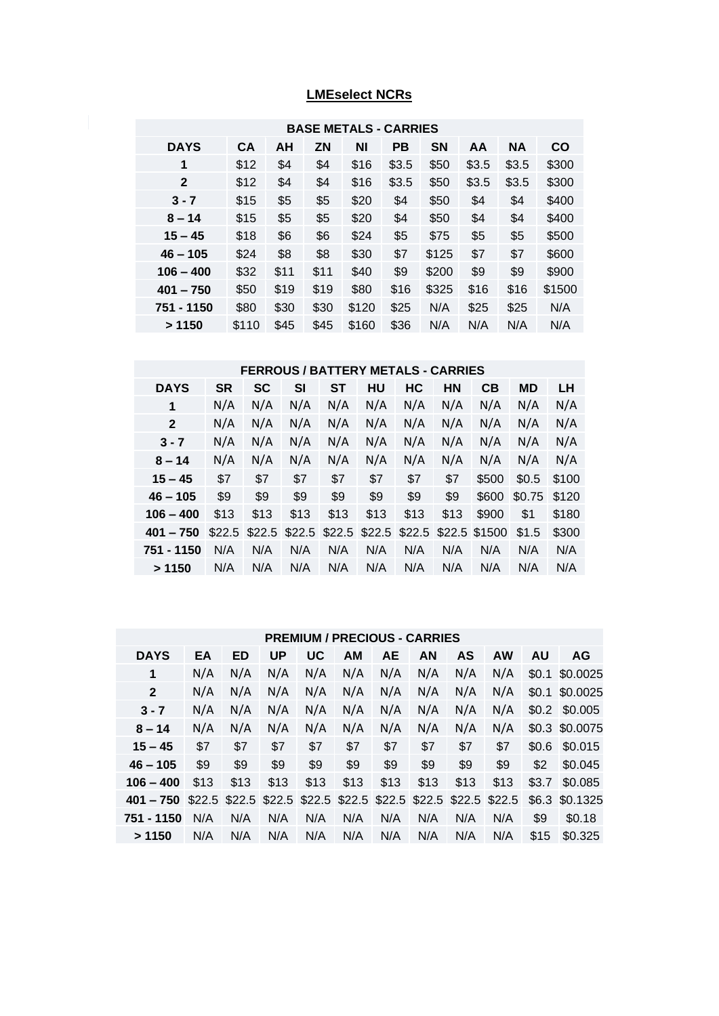## **LMEselect NCRs**

|              |           |      |           | <b>BASE METALS - CARRIES</b> |           |           |       |           |        |
|--------------|-----------|------|-----------|------------------------------|-----------|-----------|-------|-----------|--------|
| <b>DAYS</b>  | <b>CA</b> | AH   | <b>ZN</b> | ΝI                           | <b>PB</b> | <b>SN</b> | AA    | <b>NA</b> | CO     |
| 1            | \$12      | \$4  | \$4       | \$16                         | \$3.5     | \$50      | \$3.5 | \$3.5     | \$300  |
| $\mathbf{2}$ | \$12      | \$4  | \$4       | \$16                         | \$3.5     | \$50      | \$3.5 | \$3.5     | \$300  |
| $3 - 7$      | \$15      | \$5  | \$5       | \$20                         | \$4       | \$50      | \$4   | \$4       | \$400  |
| $8 - 14$     | \$15      | \$5  | \$5       | \$20                         | \$4       | \$50      | \$4   | \$4       | \$400  |
| $15 - 45$    | \$18      | \$6  | \$6       | \$24                         | \$5       | \$75      | \$5   | \$5       | \$500  |
| $46 - 105$   | \$24      | \$8  | \$8       | \$30                         | \$7       | \$125     | \$7   | \$7       | \$600  |
| $106 - 400$  | \$32      | \$11 | \$11      | \$40                         | \$9       | \$200     | \$9   | \$9       | \$900  |
| $401 - 750$  | \$50      | \$19 | \$19      | \$80                         | \$16      | \$325     | \$16  | \$16      | \$1500 |
| 751 - 1150   | \$80      | \$30 | \$30      | \$120                        | \$25      | N/A       | \$25  | \$25      | N/A    |
| >1150        | \$110     | \$45 | \$45      | \$160                        | \$36      | N/A       | N/A   | N/A       | N/A    |

## **FERROUS / BATTERY METALS - CARRIES**

| <b>DAYS</b>  | <b>SR</b> | <b>SC</b> | SI     | SТ   | HU   | HC                      | <b>HN</b> | CВ            | MD     | LН    |
|--------------|-----------|-----------|--------|------|------|-------------------------|-----------|---------------|--------|-------|
| 1            | N/A       | N/A       | N/A    | N/A  | N/A  | N/A                     | N/A       | N/A           | N/A    | N/A   |
| $\mathbf{2}$ | N/A       | N/A       | N/A    | N/A  | N/A  | N/A                     | N/A       | N/A           | N/A    | N/A   |
| $3 - 7$      | N/A       | N/A       | N/A    | N/A  | N/A  | N/A                     | N/A       | N/A           | N/A    | N/A   |
| $8 - 14$     | N/A       | N/A       | N/A    | N/A  | N/A  | N/A                     | N/A       | N/A           | N/A    | N/A   |
| $15 - 45$    | \$7       | \$7       | \$7    | \$7  | \$7  | \$7                     | \$7       | \$500         | \$0.5  | \$100 |
| $46 - 105$   | \$9       | \$9       | \$9    | \$9  | \$9  | \$9                     | \$9       | \$600         | \$0.75 | \$120 |
| $106 - 400$  | \$13      | \$13      | \$13   | \$13 | \$13 | \$13                    | \$13      | \$900         | \$1    | \$180 |
| $401 - 750$  | \$22.5    | \$22.5    | \$22.5 |      |      | $$22.5$ $$22.5$ $$22.5$ |           | \$22.5 \$1500 | \$1.5  | \$300 |
| 751 - 1150   | N/A       | N/A       | N/A    | N/A  | N/A  | N/A                     | N/A       | N/A           | N/A    | N/A   |
| >1150        | N/A       | N/A       | N/A    | N/A  | N/A  | N/A                     | N/A       | N/A           | N/A    | N/A   |

## **PREMIUM / PRECIOUS - CARRIES**

| <b>DAYS</b>  | EA     | <b>ED</b> | UP                                               | UC   | AM   | <b>AE</b> | AN   | <b>AS</b> | <b>AW</b> | AU      | <b>AG</b> |
|--------------|--------|-----------|--------------------------------------------------|------|------|-----------|------|-----------|-----------|---------|-----------|
| 1            | N/A    | N/A       | N/A                                              | N/A  | N/A  | N/A       | N/A  | N/A       | N/A       | \$0.1   | \$0.0025  |
| $\mathbf{2}$ | N/A    | N/A       | N/A                                              | N/A  | N/A  | N/A       | N/A  | N/A       | N/A       | \$0.1   | \$0.0025  |
| $3 - 7$      | N/A    | N/A       | N/A                                              | N/A  | N/A  | N/A       | N/A  | N/A       | N/A       | \$0.2\$ | \$0.005   |
| $8 - 14$     | N/A    | N/A       | N/A                                              | N/A  | N/A  | N/A       | N/A  | N/A       | N/A       | \$0.3   | \$0,0075  |
| $15 - 45$    | \$7    | \$7       | \$7                                              | \$7  | \$7  | \$7       | \$7  | \$7       | \$7       | \$0.6   | \$0.015   |
| $46 - 105$   | \$9    | \$9       | \$9                                              | \$9  | \$9  | \$9       | \$9  | \$9       | \$9       | \$2     | \$0.045   |
| $106 - 400$  | \$13   | \$13      | \$13                                             | \$13 | \$13 | \$13      | \$13 | \$13      | \$13      | \$3.7   | \$0.085   |
| $401 - 750$  | \$22.5 |           | \$22.5 \$22.5 \$22.5 \$22.5 \$22.5 \$22.5 \$22.5 |      |      |           |      |           | \$22.5    | \$6.3\$ | \$0.1325  |
| 751 - 1150   | N/A    | N/A       | N/A                                              | N/A  | N/A  | N/A       | N/A  | N/A       | N/A       | \$9     | \$0.18    |
| >1150        | N/A    | N/A       | N/A                                              | N/A  | N/A  | N/A       | N/A  | N/A       | N/A       | \$15    | \$0.325   |